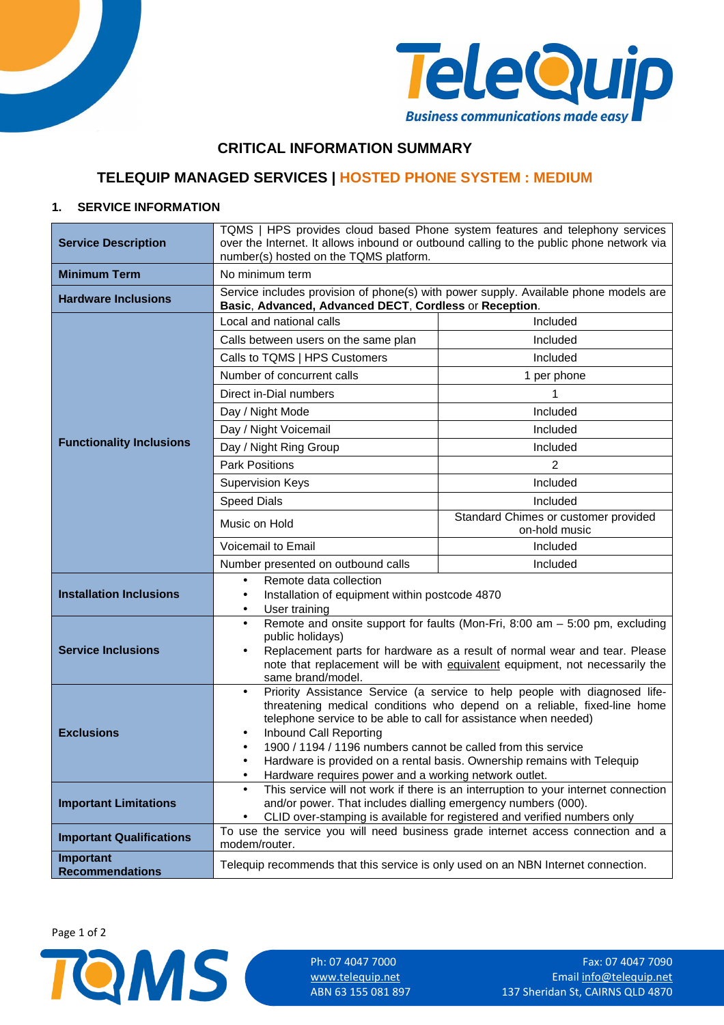



## **CRITICAL INFORMATION SUMMARY**

# **TELEQUIP MANAGED SERVICES | HOSTED PHONE SYSTEM : MEDIUM**

### **1. SERVICE INFORMATION**

| <b>Service Description</b>          | TQMS   HPS provides cloud based Phone system features and telephony services<br>over the Internet. It allows inbound or outbound calling to the public phone network via<br>number(s) hosted on the TQMS platform.                                                                                                                                                                                                                           |                                                       |  |
|-------------------------------------|----------------------------------------------------------------------------------------------------------------------------------------------------------------------------------------------------------------------------------------------------------------------------------------------------------------------------------------------------------------------------------------------------------------------------------------------|-------------------------------------------------------|--|
| <b>Minimum Term</b>                 | No minimum term                                                                                                                                                                                                                                                                                                                                                                                                                              |                                                       |  |
| <b>Hardware Inclusions</b>          | Service includes provision of phone(s) with power supply. Available phone models are<br>Basic, Advanced, Advanced DECT, Cordless or Reception.                                                                                                                                                                                                                                                                                               |                                                       |  |
|                                     | Local and national calls                                                                                                                                                                                                                                                                                                                                                                                                                     | Included                                              |  |
|                                     | Calls between users on the same plan                                                                                                                                                                                                                                                                                                                                                                                                         | Included                                              |  |
|                                     | Calls to TQMS   HPS Customers                                                                                                                                                                                                                                                                                                                                                                                                                | Included                                              |  |
|                                     | Number of concurrent calls                                                                                                                                                                                                                                                                                                                                                                                                                   | 1 per phone                                           |  |
|                                     | Direct in-Dial numbers                                                                                                                                                                                                                                                                                                                                                                                                                       |                                                       |  |
|                                     | Day / Night Mode                                                                                                                                                                                                                                                                                                                                                                                                                             | Included                                              |  |
|                                     | Day / Night Voicemail                                                                                                                                                                                                                                                                                                                                                                                                                        | Included                                              |  |
| <b>Functionality Inclusions</b>     | Day / Night Ring Group                                                                                                                                                                                                                                                                                                                                                                                                                       | Included                                              |  |
|                                     | <b>Park Positions</b>                                                                                                                                                                                                                                                                                                                                                                                                                        | 2                                                     |  |
|                                     | <b>Supervision Keys</b>                                                                                                                                                                                                                                                                                                                                                                                                                      | Included                                              |  |
|                                     | <b>Speed Dials</b>                                                                                                                                                                                                                                                                                                                                                                                                                           | Included                                              |  |
|                                     | Music on Hold                                                                                                                                                                                                                                                                                                                                                                                                                                | Standard Chimes or customer provided<br>on-hold music |  |
|                                     | <b>Voicemail to Email</b>                                                                                                                                                                                                                                                                                                                                                                                                                    | Included                                              |  |
|                                     | Number presented on outbound calls                                                                                                                                                                                                                                                                                                                                                                                                           | Included                                              |  |
|                                     | Remote data collection<br>$\bullet$                                                                                                                                                                                                                                                                                                                                                                                                          |                                                       |  |
| <b>Installation Inclusions</b>      | Installation of equipment within postcode 4870<br>$\bullet$<br>User training<br>$\bullet$                                                                                                                                                                                                                                                                                                                                                    |                                                       |  |
| <b>Service Inclusions</b>           | Remote and onsite support for faults (Mon-Fri, 8:00 am - 5:00 pm, excluding<br>$\bullet$<br>public holidays)<br>Replacement parts for hardware as a result of normal wear and tear. Please<br>$\bullet$                                                                                                                                                                                                                                      |                                                       |  |
|                                     | note that replacement will be with equivalent equipment, not necessarily the<br>same brand/model.                                                                                                                                                                                                                                                                                                                                            |                                                       |  |
| <b>Exclusions</b>                   | Priority Assistance Service (a service to help people with diagnosed life-<br>$\bullet$<br>threatening medical conditions who depend on a reliable, fixed-line home<br>telephone service to be able to call for assistance when needed)<br>Inbound Call Reporting<br>٠<br>1900 / 1194 / 1196 numbers cannot be called from this service<br>$\bullet$<br>Hardware is provided on a rental basis. Ownership remains with Telequip<br>$\bullet$ |                                                       |  |
|                                     | Hardware requires power and a working network outlet.<br>٠                                                                                                                                                                                                                                                                                                                                                                                   |                                                       |  |
| <b>Important Limitations</b>        | This service will not work if there is an interruption to your internet connection<br>$\bullet$<br>and/or power. That includes dialling emergency numbers (000).<br>CLID over-stamping is available for registered and verified numbers only                                                                                                                                                                                                 |                                                       |  |
| <b>Important Qualifications</b>     | To use the service you will need business grade internet access connection and a<br>modem/router.                                                                                                                                                                                                                                                                                                                                            |                                                       |  |
| Important<br><b>Recommendations</b> | Telequip recommends that this service is only used on an NBN Internet connection.                                                                                                                                                                                                                                                                                                                                                            |                                                       |  |

Page 1 of 2

Ph: 07 4047 7000 Fax: 07 4047 7090 Ph: 07 4047 7000 Fax: 07 4047 7090 Fax: 07 4047 7090 WWW.telequip.net ABN 63 155 081 897 Fax: 07 4047 7090 137 Sheridan St, CAIRNS QLD 4870